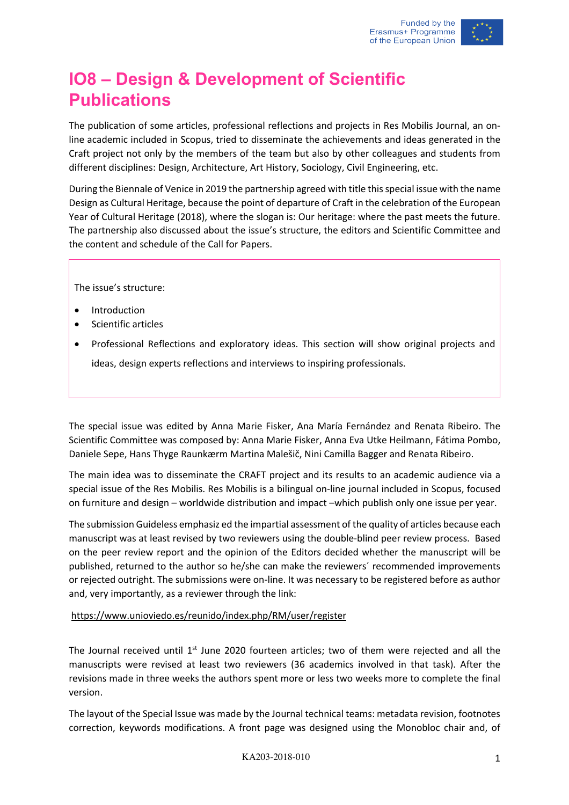

## **IO8 – Design & Development of Scientific Publications**

The publication of some articles, professional reflections and projects in Res Mobilis Journal, an online academic included in Scopus, tried to disseminate the achievements and ideas generated in the Craft project not only by the members of the team but also by other colleagues and students from different disciplines: Design, Architecture, Art History, Sociology, Civil Engineering, etc.

During the Biennale of Venice in 2019 the partnership agreed with title this special issue with the name Design as Cultural Heritage, because the point of departure of Craft in the celebration of the European Year of Cultural Heritage (2018), where the slogan is: Our heritage: where the past meets the future. The partnership also discussed about the issue's structure, the editors and Scientific Committee and the content and schedule of the Call for Papers.

The issue's structure:

- Introduction
- Scientific articles
- Professional Reflections and exploratory ideas. This section will show original projects and ideas, design experts reflections and interviews to inspiring professionals.

The special issue was edited by Anna Marie Fisker, Ana María Fernández and Renata Ribeiro. The Scientific Committee was composed by: Anna Marie Fisker, Anna Eva Utke Heilmann, Fátima Pombo, Daniele Sepe, Hans Thyge Raunkærm Martina Malešič, Nini Camilla Bagger and Renata Ribeiro.

The main idea was to disseminate the CRAFT project and its results to an academic audience via a special issue of the Res Mobilis. Res Mobilis is a bilingual on-line journal included in Scopus, focused on furniture and design – worldwide distribution and impact –which publish only one issue per year.

The submission Guideless emphasiz ed the impartial assessment of the quality of articles because each manuscript was at least revised by two reviewers using the double-blind peer review process. Based on the peer review report and the opinion of the Editors decided whether the manuscript will be published, returned to the author so he/she can make the reviewers´ recommended improvements or rejected outright. The submissions were on-line. It was necessary to be registered before as author and, very importantly, as a reviewer through the link:

## https://www.unioviedo.es/reunido/index.php/RM/user/register

The Journal received until 1<sup>st</sup> June 2020 fourteen articles; two of them were rejected and all the manuscripts were revised at least two reviewers (36 academics involved in that task). After the revisions made in three weeks the authors spent more or less two weeks more to complete the final version.

The layout of the Special Issue was made by the Journal technical teams: metadata revision, footnotes correction, keywords modifications. A front page was designed using the Monobloc chair and, of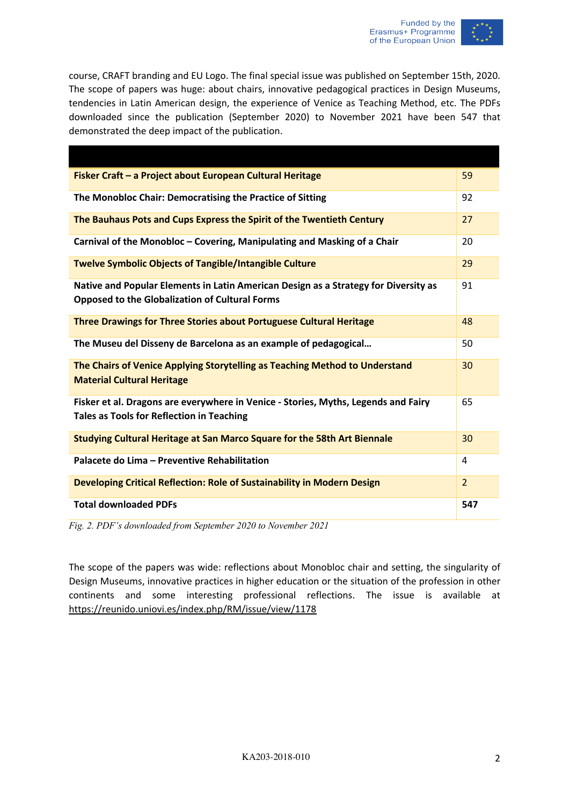

course, CRAFT branding and EU Logo. The final special issue was published on September 15th, 2020. The scope of papers was huge: about chairs, innovative pedagogical practices in Design Museums, tendencies in Latin American design, the experience of Venice as Teaching Method, etc. The PDFs downloaded since the publication (September 2020) to November 2021 have been 547 that demonstrated the deep impact of the publication.

| Fisker Craft - a Project about European Cultural Heritage                                                                                    | 59             |
|----------------------------------------------------------------------------------------------------------------------------------------------|----------------|
| The Monobloc Chair: Democratising the Practice of Sitting                                                                                    | 92             |
| The Bauhaus Pots and Cups Express the Spirit of the Twentieth Century                                                                        | 27             |
| Carnival of the Monobloc - Covering, Manipulating and Masking of a Chair                                                                     | 20             |
| <b>Twelve Symbolic Objects of Tangible/Intangible Culture</b>                                                                                | 29             |
| Native and Popular Elements in Latin American Design as a Strategy for Diversity as<br><b>Opposed to the Globalization of Cultural Forms</b> | 91             |
| Three Drawings for Three Stories about Portuguese Cultural Heritage                                                                          | 48             |
| The Museu del Disseny de Barcelona as an example of pedagogical                                                                              | 50             |
| The Chairs of Venice Applying Storytelling as Teaching Method to Understand<br><b>Material Cultural Heritage</b>                             | 30             |
| Fisker et al. Dragons are everywhere in Venice - Stories, Myths, Legends and Fairy<br><b>Tales as Tools for Reflection in Teaching</b>       | 65             |
| Studying Cultural Heritage at San Marco Square for the 58th Art Biennale                                                                     | 30             |
| Palacete do Lima - Preventive Rehabilitation                                                                                                 | 4              |
| Developing Critical Reflection: Role of Sustainability in Modern Design                                                                      | $\overline{2}$ |
| <b>Total downloaded PDFs</b>                                                                                                                 | 547            |

*Fig. 2. PDF's downloaded from September 2020 to November 2021*

The scope of the papers was wide: reflections about Monobloc chair and setting, the singularity of Design Museums, innovative practices in higher education or the situation of the profession in other continents and some interesting professional reflections. The issue is available at https://reunido.uniovi.es/index.php/RM/issue/view/1178